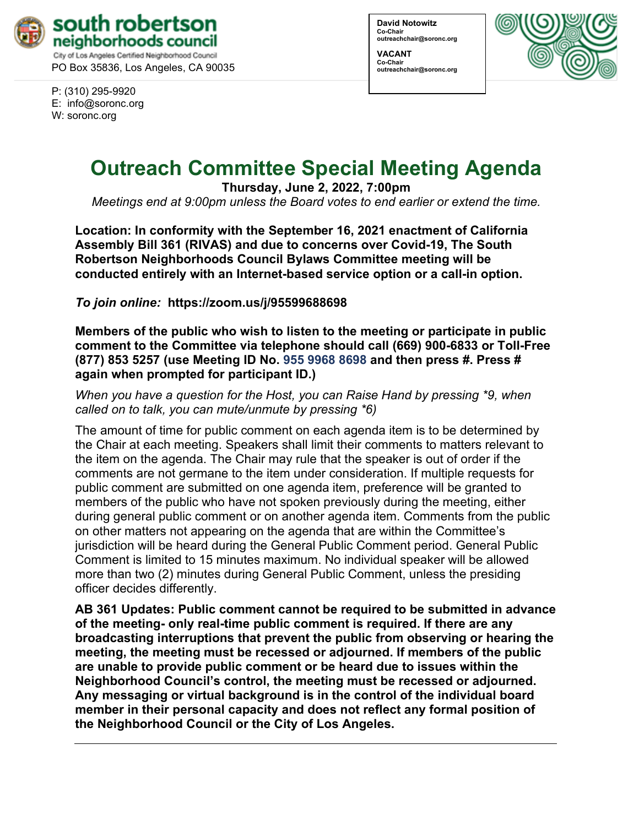

PO Box 35836, Los Angeles, CA 90035

P: (310) 295-9920 E: [info@soronc.org](mailto:info@soronc.org) W: soronc.org

**David Notowitz Co-Chair outreachchair@soronc.org**

**VACANT Co-Chair outreachchair@soronc.org**



# **Outreach Committee Special Meeting Agenda**

**Thursday, June 2, 2022, 7:00pm** *Meetings end at 9:00pm unless the Board votes to end earlier or extend the time.*

**Location: In conformity with the September 16, 2021 enactment of California Assembly Bill 361 (RIVAS) and due to concerns over Covid-19, The South Robertson Neighborhoods Council Bylaws Committee meeting will be conducted entirely with an Internet-based service option or a call-in option.** 

*To join online:* **https://zoom.us/j/95599688698**

**Members of the public who wish to listen to the meeting or participate in public comment to the Committee via telephone should call (669) 900-6833 or Toll-Free (877) 853 5257 (use Meeting ID No. 955 9968 8698 and then press #. Press # again when prompted for participant ID.)** 

*When you have a question for the Host, you can Raise Hand by pressing \*9, when called on to talk, you can mute/unmute by pressing \*6)* 

The amount of time for public comment on each agenda item is to be determined by the Chair at each meeting. Speakers shall limit their comments to matters relevant to the item on the agenda. The Chair may rule that the speaker is out of order if the comments are not germane to the item under consideration. If multiple requests for public comment are submitted on one agenda item, preference will be granted to members of the public who have not spoken previously during the meeting, either during general public comment or on another agenda item. Comments from the public on other matters not appearing on the agenda that are within the Committee's jurisdiction will be heard during the General Public Comment period. General Public Comment is limited to 15 minutes maximum. No individual speaker will be allowed more than two (2) minutes during General Public Comment, unless the presiding officer decides differently.

**AB 361 Updates: Public comment cannot be required to be submitted in advance of the meeting- only real-time public comment is required. If there are any broadcasting interruptions that prevent the public from observing or hearing the meeting, the meeting must be recessed or adjourned. If members of the public are unable to provide public comment or be heard due to issues within the Neighborhood Council's control, the meeting must be recessed or adjourned. Any messaging or virtual background is in the control of the individual board member in their personal capacity and does not reflect any formal position of the Neighborhood Council or the City of Los Angeles.**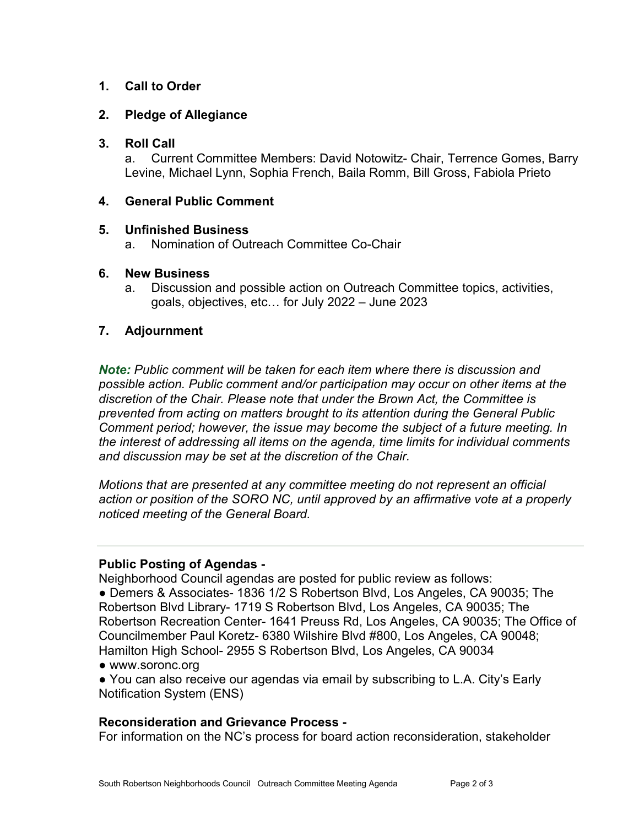# **1. Call to Order**

# **2. Pledge of Allegiance**

## **3. Roll Call**

a. Current Committee Members: David Notowitz- Chair, Terrence Gomes, Barry Levine, Michael Lynn, Sophia French, Baila Romm, Bill Gross, Fabiola Prieto

## **4. General Public Comment**

### **5. Unfinished Business**

a. Nomination of Outreach Committee Co-Chair

### **6. New Business**

a. Discussion and possible action on Outreach Committee topics, activities, goals, objectives, etc… for July 2022 – June 2023

## **7. Adjournment**

*Note: Public comment will be taken for each item where there is discussion and possible action. Public comment and/or participation may occur on other items at the discretion of the Chair. Please note that under the Brown Act, the Committee is prevented from acting on matters brought to its attention during the General Public Comment period; however, the issue may become the subject of a future meeting. In the interest of addressing all items on the agenda, time limits for individual comments and discussion may be set at the discretion of the Chair.*

*Motions that are presented at any committee meeting do not represent an official action or position of the SORO NC, until approved by an affirmative vote at a properly noticed meeting of the General Board.*

#### **Public Posting of Agendas -**

Neighborhood Council agendas are posted for public review as follows:

● Demers & Associates- 1836 1/2 S Robertson Blvd, Los Angeles, CA 90035; The Robertson Blvd Library- 1719 S Robertson Blvd, Los Angeles, CA 90035; The Robertson Recreation Center- 1641 Preuss Rd, Los Angeles, CA 90035; The Office of Councilmember Paul Koretz- 6380 Wilshire Blvd #800, Los Angeles, CA 90048; Hamilton High School- 2955 S Robertson Blvd, Los Angeles, CA 90034

● [www.soronc.org](http://www.soronc.org/)

● You can also receive our agendas via email by subscribing to L.A. City's [Early](https://www.lacity.org/government/subscribe-agendasnotifications/neighborhood-councils)  [Notification System \(ENS\)](https://www.lacity.org/government/subscribe-agendasnotifications/neighborhood-councils)

#### **Reconsideration and Grievance Process -**

For information on the NC's process for board action reconsideration, stakeholder